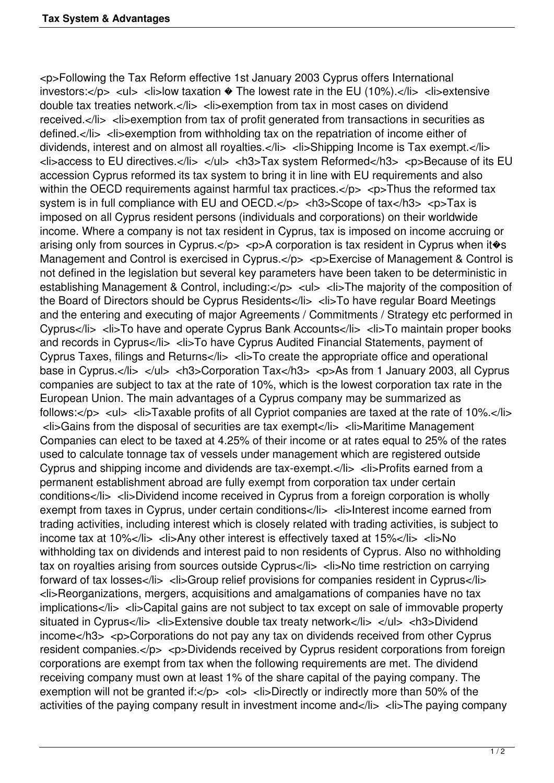<p>Following the Tax Reform effective 1st January 2003 Cyprus offers International investors:</p> <ul> <li>low taxation  $\bullet$  The lowest rate in the EU (10%).</li> <li>extensive double tax treaties network.</li> <li>exemption from tax in most cases on dividend received.</li> <li>exemption from tax of profit generated from transactions in securities as defined.</li> <li>exemption from withholding tax on the repatriation of income either of dividends, interest and on almost all royalties.</li><li>>>>>>><li>Shipping Income is Tax exempt.</li> <li>access to EU directives.</li> </ul> <h3>Tax system Reformed</h3> <p>Because of its EU accession Cyprus reformed its tax system to bring it in line with EU requirements and also within the OECD requirements against harmful tax practices. $\langle$ p>  $\langle$ p>Thus the reformed tax system is in full compliance with EU and OECD.</p> <h3>Scope of tax</h3> <p>Tax is imposed on all Cyprus resident persons (individuals and corporations) on their worldwide income. Where a company is not tax resident in Cyprus, tax is imposed on income accruing or arising only from sources in Cyprus.</p> <p>A corporation is tax resident in Cyprus when it $\circ$ s Management and Control is exercised in Cyprus.</p> <p>Exercise of Management & Control is not defined in the legislation but several key parameters have been taken to be deterministic in establishing Management & Control, including:</p> <ul> <li>The majority of the composition of the Board of Directors should be Cyprus Residents</li> <li>To have regular Board Meetings and the entering and executing of major Agreements / Commitments / Strategy etc performed in Cyprus</li> <li>To have and operate Cyprus Bank Accounts</li> <li>To maintain proper books and records in Cyprus</li> <li>To have Cyprus Audited Financial Statements, payment of Cyprus Taxes, filings and Returns</li> <li>To create the appropriate office and operational base in Cyprus.</li> </ul> <h3>> <h3>Corporation Tax</h3> <p>As from 1 January 2003, all Cyprus companies are subject to tax at the rate of 10%, which is the lowest corporation tax rate in the European Union. The main advantages of a Cyprus company may be summarized as follows:</p> <ul> <li>Taxable profits of all Cypriot companies are taxed at the rate of 10%.</li> <li>Gains from the disposal of securities are tax exempt</li> <li>Maritime Management Companies can elect to be taxed at 4.25% of their income or at rates equal to 25% of the rates used to calculate tonnage tax of vessels under management which are registered outside Cyprus and shipping income and dividends are tax-exempt.</li> <li>Profits earned from a permanent establishment abroad are fully exempt from corporation tax under certain conditions</li> <li>Dividend income received in Cyprus from a foreign corporation is wholly exempt from taxes in Cyprus, under certain conditions</li> <li>Interest income earned from trading activities, including interest which is closely related with trading activities, is subject to income tax at 10%</li> <li>Any other interest is effectively taxed at 15%</li> <li>No withholding tax on dividends and interest paid to non residents of Cyprus. Also no withholding tax on royalties arising from sources outside Cyprus</li> <li>No time restriction on carrying forward of tax losses</li> <li>Group relief provisions for companies resident in Cyprus</li> <li>Reorganizations, mergers, acquisitions and amalgamations of companies have no tax implications</li> <li>Capital gains are not subject to tax except on sale of immovable property situated in Cyprus</li> <li>Extensive double tax treaty network</li> </ul> <h3>Dividend income</h3> <p>Corporations do not pay any tax on dividends received from other Cyprus resident companies.</p> <p>Dividends received by Cyprus resident corporations from foreign corporations are exempt from tax when the following requirements are met. The dividend receiving company must own at least 1% of the share capital of the paying company. The exemption will not be granted if: $\langle p \rangle$  < ol> < li>Directly or indirectly more than 50% of the activities of the paying company result in investment income and  $\langle I \rangle$   $\langle I \rangle$  -  $\langle I \rangle$  The paying company